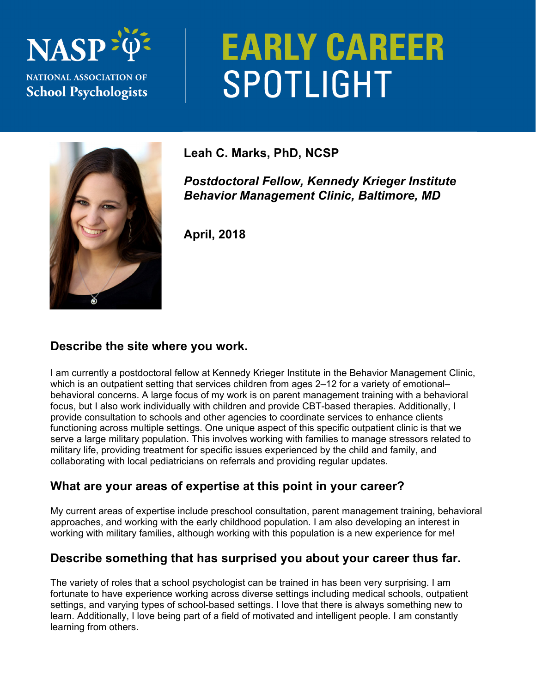## **NASI NATIONAL ASSOCIATION OF School Psychologists**

# **EARLY CAREER** SPOTLIGHT



### **Leah C. Marks, PhD, NCSP**

*Postdoctoral Fellow, Kennedy Krieger Institute Behavior Management Clinic, Baltimore, MD* 

**April, 2018** 

#### **Describe the site where you work.**

I am currently a postdoctoral fellow at Kennedy Krieger Institute in the Behavior Management Clinic, which is an outpatient setting that services children from ages 2–12 for a variety of emotional– behavioral concerns. A large focus of my work is on parent management training with a behavioral focus, but I also work individually with children and provide CBT-based therapies. Additionally, I provide consultation to schools and other agencies to coordinate services to enhance clients functioning across multiple settings. One unique aspect of this specific outpatient clinic is that we serve a large military population. This involves working with families to manage stressors related to military life, providing treatment for specific issues experienced by the child and family, and collaborating with local pediatricians on referrals and providing regular updates.

#### **What are your areas of expertise at this point in your career?**

My current areas of expertise include preschool consultation, parent management training, behavioral approaches, and working with the early childhood population. I am also developing an interest in working with military families, although working with this population is a new experience for me!

#### **Describe something that has surprised you about your career thus far.**

The variety of roles that a school psychologist can be trained in has been very surprising. I am fortunate to have experience working across diverse settings including medical schools, outpatient settings, and varying types of school-based settings. I love that there is always something new to learn. Additionally, I love being part of a field of motivated and intelligent people. I am constantly learning from others.